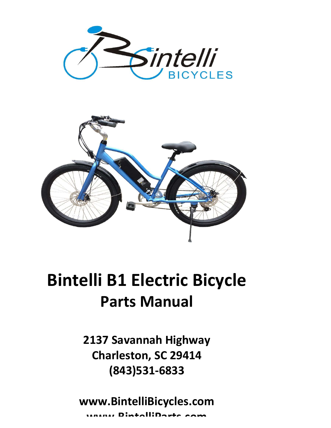



## Bintelli B1 Electric Bicycle Parts Manual

Charleston, SC 29414 (843)531-6833

www.BintelliBicycles.com DintalliDart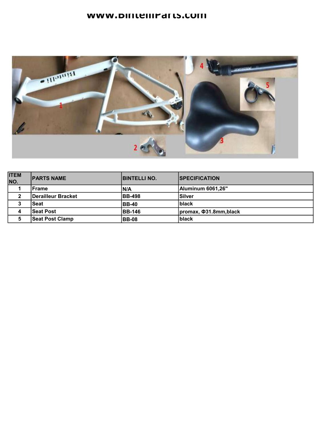## www.bintellirarts.com



| <b>ITEM</b><br>NO. | <b>IPARTS NAME</b>        | <b>BINTELLI NO.</b> | <b>ISPECIFICATION</b>        |
|--------------------|---------------------------|---------------------|------------------------------|
|                    | <b>Frame</b>              | IN/A                | <b>Aluminum 6061,26"</b>     |
| 2                  | <b>Derailleur Bracket</b> | <b>BB-498</b>       | lSilver                      |
| ۰J                 | <b>Seat</b>               | <b>BB-40</b>        | <b>Iblack</b>                |
| 4                  | <b>Seat Post</b>          | <b>BB-146</b>       | promax, $\Phi$ 31.8mm, black |
| 5                  | <b>Seat Post Clamp</b>    | <b>BB-08</b>        | <b>black</b>                 |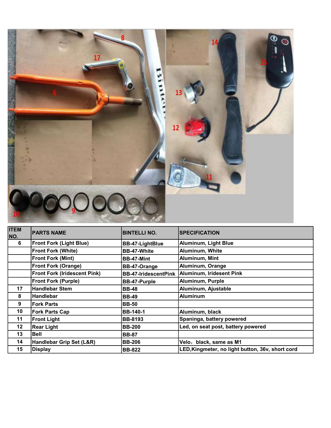

| <b>ITEM</b><br>NO. | <b>PARTS NAME</b>                   | <b>BINTELLI NO.</b>         | <b>ISPECIFICATION</b>                            |
|--------------------|-------------------------------------|-----------------------------|--------------------------------------------------|
| 6                  | <b>Front Fork (Light Blue)</b>      | <b>BB-47-LightBlue</b>      | Aluminum, Light Blue                             |
|                    | <b>Front Fork (White)</b>           | <b>BB-47-White</b>          | Aluminum, White                                  |
|                    | <b>Front Fork (Mint)</b>            | <b>BB-47-Mint</b>           | Aluminum, Mint                                   |
|                    | <b>Front Fork (Orange)</b>          | <b>BB-47-Orange</b>         | Aluminum, Orange                                 |
|                    | <b>Front Fork (Iridescent Pink)</b> | <b>BB-47-IridescentPink</b> | Aluminum, Iridesent Pink                         |
|                    | <b>Front Fork (Purple)</b>          | <b>BB-47-Purple</b>         | Aluminum, Purple                                 |
| 17                 | <b>Handlebar Stem</b>               | <b>BB-48</b>                | Aluminum, Ajustable                              |
| 8                  | <b>Handlebar</b>                    | <b>BB-49</b>                | <b>Aluminum</b>                                  |
| 9                  | <b>Fork Parts</b>                   | <b>BB-50</b>                |                                                  |
| 10                 | Fork Parts Cap                      | <b>BB-140-1</b>             | Aluminum, black                                  |
| 11                 | <b>Front Light</b>                  | <b>BB-8193</b>              | Spaninga, battery powered                        |
| 12                 | <b>Rear Light</b>                   | <b>BB-200</b>               | Led, on seat post, battery powered               |
| 13                 | <b>Bell</b>                         | <b>BB-87</b>                |                                                  |
| 14                 | Handlebar Grip Set (L&R)            | <b>BB-206</b>               | Velo, black, same as M1                          |
| 15                 | <b>Display</b>                      | <b>BB-822</b>               | LED, Kingmeter, no light button, 36v, short cord |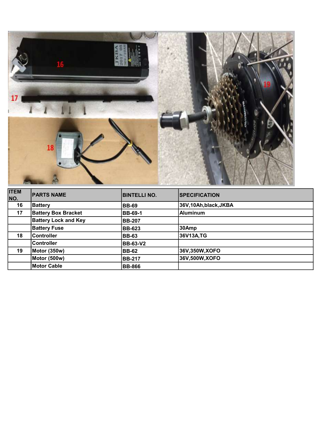

| <b>ITEM</b><br>NO. | <b>PARTS NAME</b>           | <b>BINTELLI NO.</b> | <b>SPECIFICATION</b> |
|--------------------|-----------------------------|---------------------|----------------------|
| 16                 | <b>Battery</b>              | <b>BB-69</b>        | 36V,10Ah,black,JKBA  |
| 17                 | <b>Battery Box Bracket</b>  | <b>BB-69-1</b>      | Aluminum             |
|                    | <b>Battery Lock and Key</b> | <b>BB-207</b>       |                      |
|                    | <b>Battery Fuse</b>         | <b>BB-623</b>       | 30Amp                |
| 18                 | <b>Controller</b>           | <b>BB-63</b>        | 36V13A,TG            |
|                    | Controller                  | <b>BB-63-V2</b>     |                      |
| 19                 | Motor (350w)                | <b>BB-62</b>        | 36V,350W,XOFO        |
|                    | Motor (500w)                | <b>BB-217</b>       | 36V,500W,XOFO        |
|                    | Motor Cable                 | <b>BB-866</b>       |                      |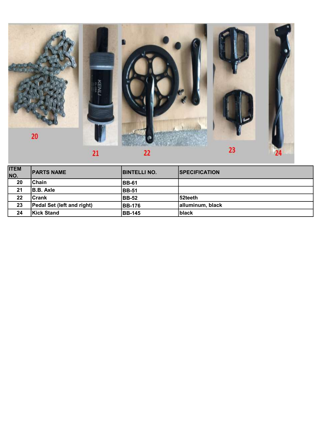

| <b>ITEM</b><br>NO. | <b>IPARTS NAME</b>                | <b>IBINTELLI NO.</b> | <b>ISPECIFICATION</b> |
|--------------------|-----------------------------------|----------------------|-----------------------|
| 20                 | lChain                            | IBB-61               |                       |
| 21                 | <b>B.B.</b> Axle                  | <b>IBB-51</b>        |                       |
| 22                 | <b>ICrank</b>                     | <b>BB-52</b>         | l52teeth              |
| 23                 | <b>Pedal Set (left and right)</b> | <b>BB-176</b>        | alluminum, black      |
| 24                 | <b>Kick Stand</b>                 | <b>BB-145</b>        | Iblack                |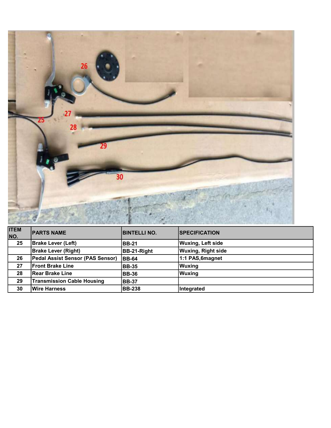

| <b>ITEM</b><br>NO. | <b>PARTS NAME</b>                 | <b>BINTELLI NO.</b> | <b>SPECIFICATION</b>      |
|--------------------|-----------------------------------|---------------------|---------------------------|
| 25                 | <b>Brake Lever (Left)</b>         | <b>BB-21</b>        | <b>Wuxing, Left side</b>  |
|                    | <b>Brake Lever (Right)</b>        | <b>BB-21-Right</b>  | <b>Wuxing, Right side</b> |
| 26                 | Pedal Assist Sensor (PAS Sensor)  | <b>BB-64</b>        | 1:1 PAS, 6magnet          |
| 27                 | <b>IFront Brake Line</b>          | <b>BB-35</b>        | Wuxing                    |
| 28                 | <b>Rear Brake Line</b>            | <b>BB-36</b>        | Wuxing                    |
| 29                 | <b>Transmission Cable Housing</b> | <b>BB-37</b>        |                           |
| 30                 | <b>Wire Harness</b>               | <b>BB-238</b>       | Integrated                |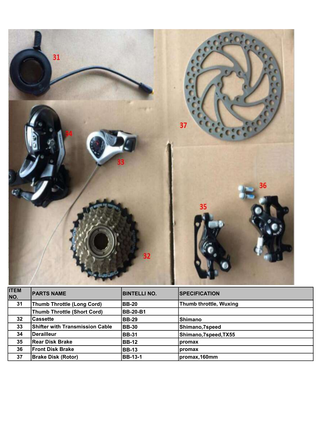| 36<br>35 |
|----------|
|          |

| <b>ITEM</b><br>NO. | <b>PARTS NAME</b>                  | <b>BINTELLI NO.</b> | <b>SPECIFICATION</b>   |
|--------------------|------------------------------------|---------------------|------------------------|
| 31                 | <b>Thumb Throttle (Long Cord)</b>  | <b>IBB-20</b>       | Thumb throttle, Wuxing |
|                    | <b>Thumb Throttle (Short Cord)</b> | <b>BB-20-B1</b>     |                        |
| 32                 | <b>Cassette</b>                    | <b>BB-29</b>        | Shimano                |
| 33                 | Shifter with Transmission Cable    | <b>BB-30</b>        | Shimano, 7speed        |
| 34                 | <b>Derailleur</b>                  | <b>BB-31</b>        | Shimano,7speed,TX55    |
| 35                 | <b>Rear Disk Brake</b>             | <b>BB-12</b>        | promax                 |
| 36                 | <b>Front Disk Brake</b>            | <b>BB-13</b>        | promax                 |
| 37                 | <b>Brake Disk (Rotor)</b>          | <b>BB-13-1</b>      | promax, 160mm          |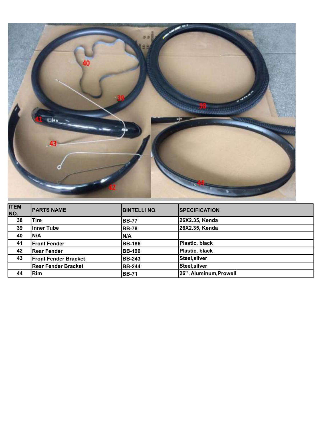

| <b>ITEM</b><br>NO. | <b>IPARTS NAME</b>          | <b>BINTELLI NO.</b> | <b>SPECIFICATION</b>         |
|--------------------|-----------------------------|---------------------|------------------------------|
| 38                 | Tire                        | <b>IBB-77</b>       | 26X2.35, Kenda               |
| 39                 | Inner Tube                  | <b>IBB-78</b>       | 26X2.35, Kenda               |
| 40                 | <b>N/A</b>                  | IN/A                |                              |
| 41                 | <b>Front Fender</b>         | <b>BB-186</b>       | Plastic, black               |
| 42                 | Rear Fender                 | <b>BB-190</b>       | Plastic, black               |
| 43                 | <b>Front Fender Bracket</b> | <b>BB-243</b>       | Steel, silver                |
|                    | Rear Fender Bracket         | <b>BB-244</b>       | Steel, silver                |
| 44                 | Rim                         | <b>IBB-71</b>       | <b>26" ,Aluminum,Prowell</b> |